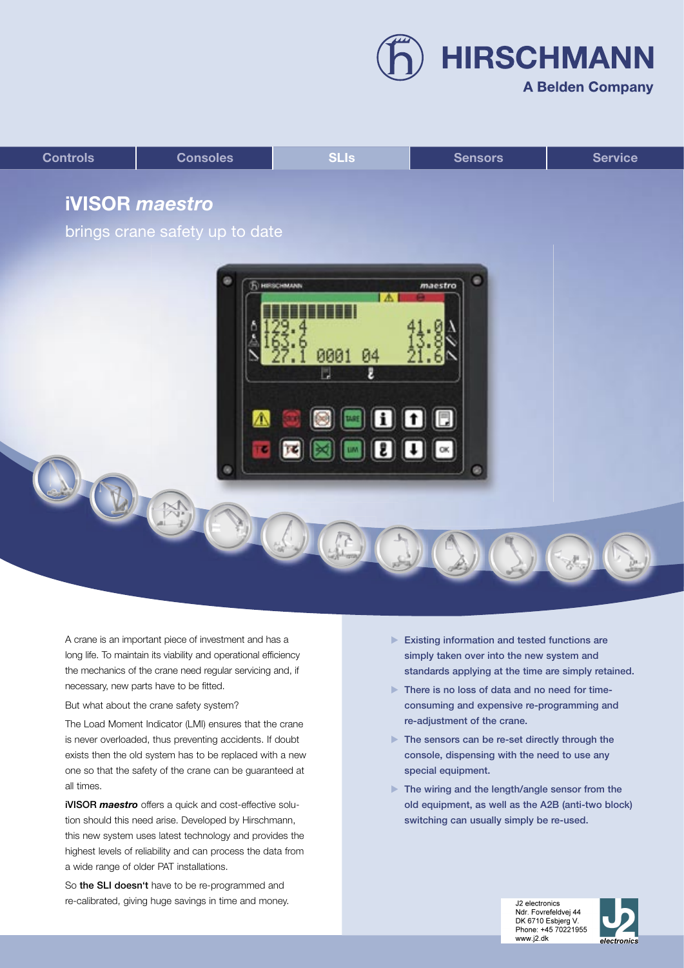**HIRSCHMANN** 

## **A Belden Company**



A crane is an important piece of investment and has a long life. To maintain its viability and operational efficiency the mechanics of the crane need regular servicing and, if necessary, new parts have to be fitted.

But what about the crane safety system?

The Load Moment Indicator (LMI) ensures that the crane is never overloaded, thus preventing accidents. If doubt exists then the old system has to be replaced with a new one so that the safety of the crane can be guaranteed at all times.

iVISOR *maestro* offers a quick and cost-effective solution should this need arise. Developed by Hirschmann, this new system uses latest technology and provides the highest levels of reliability and can process the data from a wide range of older PAT installations.

So the SLI doesn't have to be re-programmed and re-calibrated, giving huge savings in time and money.

- Existing information and tested functions are simply taken over into the new system and standards applying at the time are simply retained.
- There is no loss of data and no need for timeconsuming and expensive re-programming and re-adjustment of the crane.
- ▶ The sensors can be re-set directly through the console, dispensing with the need to use any special equipment.
- ▶ The wiring and the length/angle sensor from the old equipment, as well as the A2B (anti-two block) switching can usually simply be re-used.

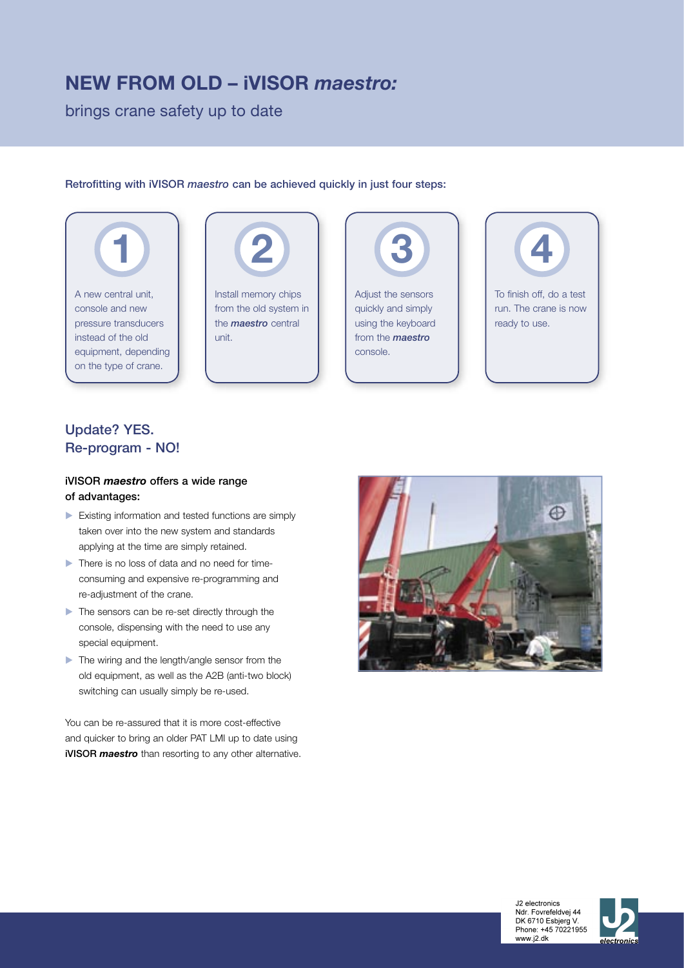## **NEW FROM OLD – iVISOR** *maestro:*

brings crane safety up to date

#### Retrofitting with iVISOR *maestro* can be achieved quickly in just four steps:





Install memory chips from the old system in the *maestro* central unit.



quickly and simply using the keyboard from the *maestro* console.



## Update? YES. Re-program - NO!

### iVISOR *maestro* offers a wide range of advantages:

- **Existing information and tested functions are simply** taken over into the new system and standards applying at the time are simply retained.
- There is no loss of data and no need for timeconsuming and expensive re-programming and re-adjustment of the crane.
- The sensors can be re-set directly through the console, dispensing with the need to use any special equipment.
- The wiring and the length/angle sensor from the old equipment, as well as the A2B (anti-two block) switching can usually simply be re-used.

You can be re-assured that it is more cost-effective and quicker to bring an older PAT LMI up to date using iVISOR *maestro* than resorting to any other alternative.





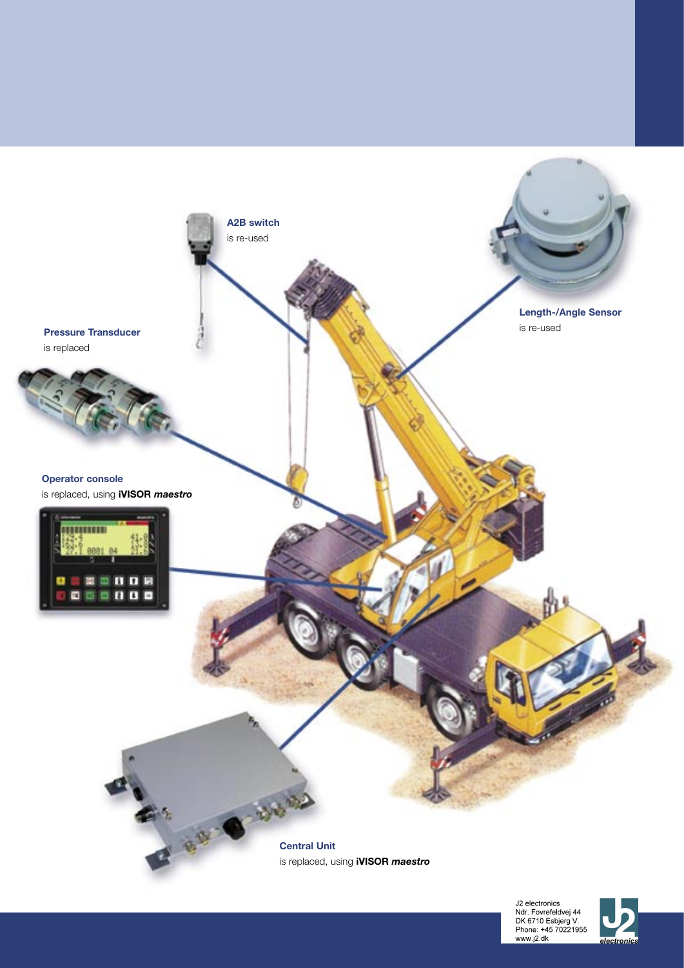

J2 electronics<br>Ndr. Fovrefeldvej 44<br>DK 6710 Esbjerg V.<br>Phone: +45 70221955<br>www.j2.dk